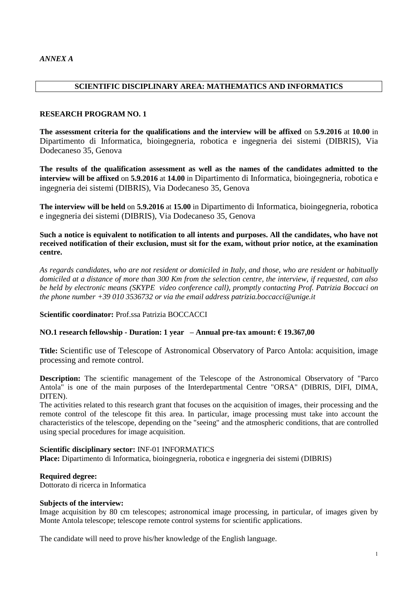#### **SCIENTIFIC DISCIPLINARY AREA: MATHEMATICS AND INFORMATICS**

#### **RESEARCH PROGRAM NO. 1**

**The assessment criteria for the qualifications and the interview will be affixed** on **5.9.2016** at **10.00** in Dipartimento di Informatica, bioingegneria, robotica e ingegneria dei sistemi (DIBRIS), Via Dodecaneso 35, Genova

**The results of the qualification assessment as well as the names of the candidates admitted to the interview will be affixed** on **5.9.2016** at **14.00** in Dipartimento di Informatica, bioingegneria, robotica e ingegneria dei sistemi (DIBRIS), Via Dodecaneso 35, Genova

**The interview will be held** on **5.9.2016** at **15.00** in Dipartimento di Informatica, bioingegneria, robotica e ingegneria dei sistemi (DIBRIS), Via Dodecaneso 35, Genova

**Such a notice is equivalent to notification to all intents and purposes. All the candidates, who have not received notification of their exclusion, must sit for the exam, without prior notice, at the examination centre.**

*As regards candidates, who are not resident or domiciled in Italy, and those, who are resident or habitually domiciled at a distance of more than 300 Km from the selection centre, the interview, if requested, can also be held by electronic means (SKYPE video conference call), promptly contacting Prof. Patrizia Boccaci on the phone number +39 010 3536732 or via the email address patrizia.boccacci@unige.it*

**Scientific coordinator:** Prof.ssa Patrizia BOCCACCI

#### **NO.1 research fellowship - Duration: 1 year – Annual pre-tax amount: € 19.367,00**

**Title:** Scientific use of Telescope of Astronomical Observatory of Parco Antola: acquisition, image processing and remote control.

**Description:** The scientific management of the Telescope of the Astronomical Observatory of "Parco" Antola" is one of the main purposes of the Interdepartmental Centre "ORSA" (DIBRIS, DIFI, DIMA, DITEN).

The activities related to this research grant that focuses on the acquisition of images, their processing and the remote control of the telescope fit this area. In particular, image processing must take into account the characteristics of the telescope, depending on the "seeing" and the atmospheric conditions, that are controlled using special procedures for image acquisition.

#### **Scientific disciplinary sector:** INF-01 INFORMATICS

**Place:** Dipartimento di Informatica, bioingegneria, robotica e ingegneria dei sistemi (DIBRIS)

#### **Required degree:**

Dottorato di ricerca in Informatica

#### **Subjects of the interview:**

Image acquisition by 80 cm telescopes; astronomical image processing, in particular, of images given by Monte Antola telescope; telescope remote control systems for scientific applications.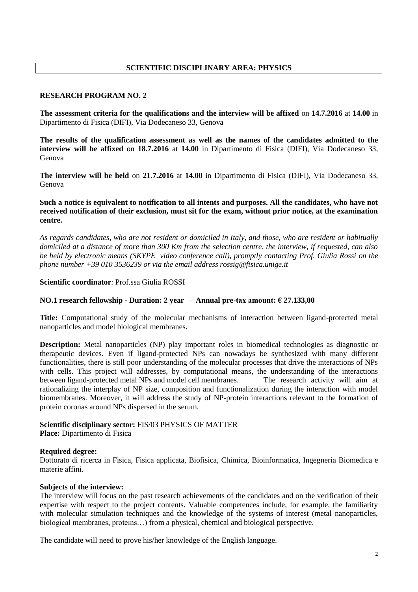# **SCIENTIFIC DISCIPLINARY AREA: PHYSICS**

#### **RESEARCH PROGRAM NO. 2**

**The assessment criteria for the qualifications and the interview will be affixed** on **14.7.2016** at **14.00** in Dipartimento di Fisica (DIFI), Via Dodecaneso 33, Genova

**The results of the qualification assessment as well as the names of the candidates admitted to the interview will be affixed** on **18.7.2016** at **14.00** in Dipartimento di Fisica (DIFI), Via Dodecaneso 33, Genova

**The interview will be held** on **21.7.2016** at **14.00** in Dipartimento di Fisica (DIFI), Via Dodecaneso 33, Genova

**Such a notice is equivalent to notification to all intents and purposes. All the candidates, who have not received notification of their exclusion, must sit for the exam, without prior notice, at the examination centre.**

*As regards candidates, who are not resident or domiciled in Italy, and those, who are resident or habitually domiciled at a distance of more than 300 Km from the selection centre, the interview, if requested, can also be held by electronic means (SKYPE video conference call), promptly contacting Prof. Giulia Rossi on the phone number +39 010 3536239 or via the email address rossig@fisica.unige.it*

#### **Scientific coordinator**: Prof.ssa Giulia ROSSI

#### **NO.1 research fellowship - Duration: 2 year – Annual pre-tax amount: € 27.133,00**

**Title:** Computational study of the molecular mechanisms of interaction between ligand-protected metal nanoparticles and model biological membranes.

**Description:** Metal nanoparticles (NP) play important roles in biomedical technologies as diagnostic or therapeutic devices. Even if ligand-protected NPs can nowadays be synthesized with many different functionalities, there is still poor understanding of the molecular processes that drive the interactions of NPs with cells. This project will addresses, by computational means, the understanding of the interactions between ligand-protected metal NPs and model cell membranes. The research activity will aim at rationalizing the interplay of NP size, composition and functionalization during the interaction with model biomembranes. Moreover, it will address the study of NP-protein interactions relevant to the formation of protein coronas around NPs dispersed in the serum.

#### **Scientific disciplinary sector:** FIS/03 PHYSICS OF MATTER

**Place:** Dipartimento di Fisica

#### **Required degree:**

Dottorato di ricerca in Fisica, Fisica applicata, Biofisica, Chimica, Bioinformatica, Ingegneria Biomedica e materie affini.

#### **Subjects of the interview:**

The interview will focus on the past research achievements of the candidates and on the verification of their expertise with respect to the project contents. Valuable competences include, for example, the familiarity with molecular simulation techniques and the knowledge of the systems of interest (metal nanoparticles, biological membranes, proteins…) from a physical, chemical and biological perspective.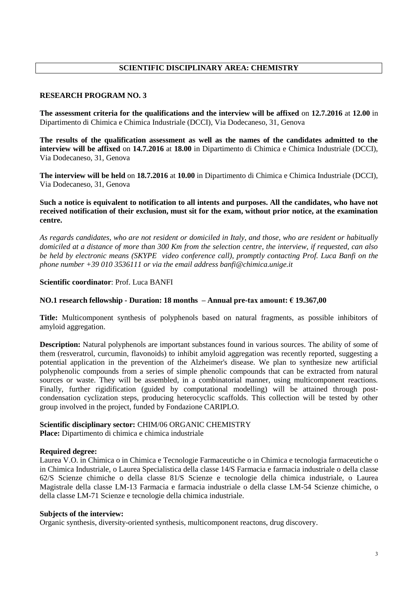# **SCIENTIFIC DISCIPLINARY AREA: CHEMISTRY**

# **RESEARCH PROGRAM NO. 3**

**The assessment criteria for the qualifications and the interview will be affixed** on **12.7.2016** at **12.00** in Dipartimento di Chimica e Chimica Industriale (DCCI), Via Dodecaneso, 31, Genova

**The results of the qualification assessment as well as the names of the candidates admitted to the interview will be affixed** on **14.7.2016** at **18.00** in Dipartimento di Chimica e Chimica Industriale (DCCI), Via Dodecaneso, 31, Genova

**The interview will be held** on **18.7.2016** at **10.00** in Dipartimento di Chimica e Chimica Industriale (DCCI), Via Dodecaneso, 31, Genova

**Such a notice is equivalent to notification to all intents and purposes. All the candidates, who have not received notification of their exclusion, must sit for the exam, without prior notice, at the examination centre.**

*As regards candidates, who are not resident or domiciled in Italy, and those, who are resident or habitually domiciled at a distance of more than 300 Km from the selection centre, the interview, if requested, can also be held by electronic means (SKYPE video conference call), promptly contacting Prof. Luca Banfi on the phone number +39 010 3536111 or via the email address banfi@chimica.unige.it*

#### **Scientific coordinator**: Prof. Luca BANFI

# **NO.1 research fellowship - Duration: 18 months – Annual pre-tax amount: € 19.367,00**

**Title:** Multicomponent synthesis of polyphenols based on natural fragments, as possible inhibitors of amyloid aggregation.

**Description:** Natural polyphenols are important substances found in various sources. The ability of some of them (resveratrol, curcumin, flavonoids) to inhibit amyloid aggregation was recently reported, suggesting a potential application in the prevention of the Alzheimer's disease. We plan to synthesize new artificial polyphenolic compounds from a series of simple phenolic compounds that can be extracted from natural sources or waste. They will be assembled, in a combinatorial manner, using multicomponent reactions. Finally, further rigidification (guided by computational modelling) will be attained through postcondensation cyclization steps, producing heterocyclic scaffolds. This collection will be tested by other group involved in the project, funded by Fondazione CARIPLO.

#### **Scientific disciplinary sector:** CHIM/06 ORGANIC CHEMISTRY

**Place:** Dipartimento di chimica e chimica industriale

#### **Required degree:**

Laurea V.O. in Chimica o in Chimica e Tecnologie Farmaceutiche o in Chimica e tecnologia farmaceutiche o in Chimica Industriale, o Laurea Specialistica della classe 14/S Farmacia e farmacia industriale o della classe 62/S Scienze chimiche o della classe 81/S Scienze e tecnologie della chimica industriale, o Laurea Magistrale della classe LM-13 Farmacia e farmacia industriale o della classe LM-54 Scienze chimiche, o della classe LM-71 Scienze e tecnologie della chimica industriale.

#### **Subjects of the interview:**

Organic synthesis, diversity-oriented synthesis, multicomponent reactons, drug discovery.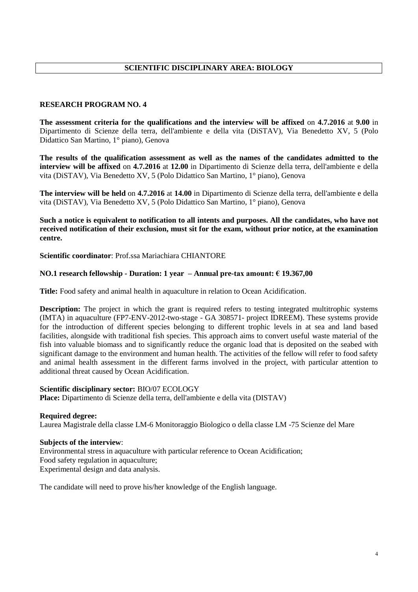# **SCIENTIFIC DISCIPLINARY AREA: BIOLOGY**

#### **RESEARCH PROGRAM NO. 4**

**The assessment criteria for the qualifications and the interview will be affixed** on **4.7.2016** at **9.00** in Dipartimento di Scienze della terra, dell'ambiente e della vita (DiSTAV), Via Benedetto XV, 5 (Polo Didattico San Martino, 1° piano), Genova

**The results of the qualification assessment as well as the names of the candidates admitted to the interview will be affixed** on **4.7.2016** at **12.00** in Dipartimento di Scienze della terra, dell'ambiente e della vita (DiSTAV), Via Benedetto XV, 5 (Polo Didattico San Martino, 1° piano), Genova

**The interview will be held** on **4.7.2016** at **14.00** in Dipartimento di Scienze della terra, dell'ambiente e della vita (DiSTAV), Via Benedetto XV, 5 (Polo Didattico San Martino, 1° piano), Genova

**Such a notice is equivalent to notification to all intents and purposes. All the candidates, who have not received notification of their exclusion, must sit for the exam, without prior notice, at the examination centre.**

**Scientific coordinator**: Prof.ssa Mariachiara CHIANTORE

# **NO.1 research fellowship - Duration: 1 year – Annual pre-tax amount: € 19.367,00**

**Title:** Food safety and animal health in aquaculture in relation to Ocean Acidification.

**Description:** The project in which the grant is required refers to testing integrated multitrophic systems (IMTA) in aquaculture (FP7-ENV-2012-two-stage - GA 308571- project IDREEM). These systems provide for the introduction of different species belonging to different trophic levels in at sea and land based facilities, alongside with traditional fish species. This approach aims to convert useful waste material of the fish into valuable biomass and to significantly reduce the organic load that is deposited on the seabed with significant damage to the environment and human health. The activities of the fellow will refer to food safety and animal health assessment in the different farms involved in the project, with particular attention to additional threat caused by Ocean Acidification.

#### **Scientific disciplinary sector:** BIO/07 ECOLOGY

**Place:** Dipartimento di Scienze della terra, dell'ambiente e della vita (DISTAV)

**Required degree:**  Laurea Magistrale della classe LM-6 Monitoraggio Biologico o della classe LM -75 Scienze del Mare

#### **Subjects of the interview**:

Environmental stress in aquaculture with particular reference to Ocean Acidification; Food safety regulation in aquaculture; Experimental design and data analysis.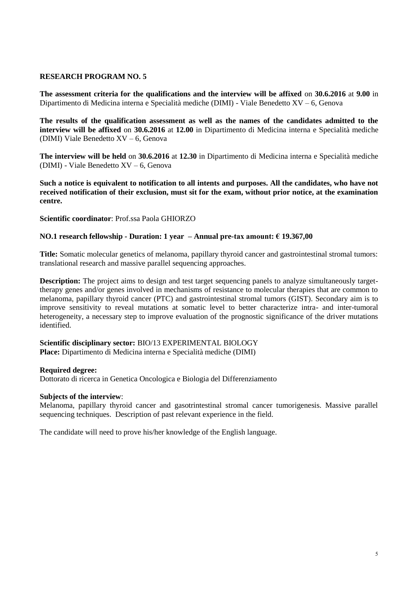**The assessment criteria for the qualifications and the interview will be affixed** on **30.6.2016** at **9.00** in Dipartimento di Medicina interna e Specialità mediche (DIMI) - Viale Benedetto XV – 6, Genova

**The results of the qualification assessment as well as the names of the candidates admitted to the interview will be affixed** on **30.6.2016** at **12.00** in Dipartimento di Medicina interna e Specialità mediche (DIMI) Viale Benedetto XV – 6, Genova

**The interview will be held** on **30.6.2016** at **12.30** in Dipartimento di Medicina interna e Specialità mediche (DIMI) - Viale Benedetto XV – 6, Genova

**Such a notice is equivalent to notification to all intents and purposes. All the candidates, who have not received notification of their exclusion, must sit for the exam, without prior notice, at the examination centre.**

**Scientific coordinator**: Prof.ssa Paola GHIORZO

#### **NO.1 research fellowship - Duration: 1 year – Annual pre-tax amount: € 19.367,00**

**Title:** Somatic molecular genetics of melanoma, papillary thyroid cancer and gastrointestinal stromal tumors: translational research and massive parallel sequencing approaches.

**Description:** The project aims to design and test target sequencing panels to analyze simultaneously targettherapy genes and/or genes involved in mechanisms of resistance to molecular therapies that are common to melanoma, papillary thyroid cancer (PTC) and gastrointestinal stromal tumors (GIST). Secondary aim is to improve sensitivity to reveal mutations at somatic level to better characterize intra- and inter-tumoral heterogeneity, a necessary step to improve evaluation of the prognostic significance of the driver mutations identified.

#### **Scientific disciplinary sector:** BIO/13 EXPERIMENTAL BIOLOGY **Place:** Dipartimento di Medicina interna e Specialità mediche (DIMI)

#### **Required degree:**

Dottorato di ricerca in Genetica Oncologica e Biologia del Differenziamento

#### **Subjects of the interview**:

Melanoma, papillary thyroid cancer and gasotrintestinal stromal cancer tumorigenesis. Massive parallel sequencing techniques. Description of past relevant experience in the field.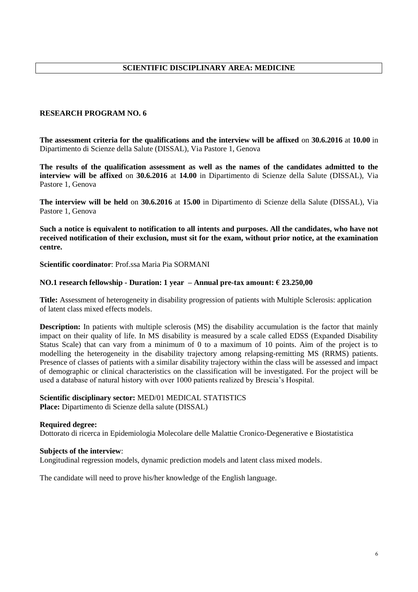# **SCIENTIFIC DISCIPLINARY AREA: MEDICINE**

#### **RESEARCH PROGRAM NO. 6**

**The assessment criteria for the qualifications and the interview will be affixed** on **30.6.2016** at **10.00** in Dipartimento di Scienze della Salute (DISSAL), Via Pastore 1, Genova

**The results of the qualification assessment as well as the names of the candidates admitted to the interview will be affixed** on **30.6.2016** at **14.00** in Dipartimento di Scienze della Salute (DISSAL), Via Pastore 1, Genova

**The interview will be held** on **30.6.2016** at **15.00** in Dipartimento di Scienze della Salute (DISSAL), Via Pastore 1, Genova

**Such a notice is equivalent to notification to all intents and purposes. All the candidates, who have not received notification of their exclusion, must sit for the exam, without prior notice, at the examination centre.**

**Scientific coordinator**: Prof.ssa Maria Pia SORMANI

#### **NO.1 research fellowship - Duration: 1 year – Annual pre-tax amount: € 23.250,00**

**Title:** Assessment of heterogeneity in disability progression of patients with Multiple Sclerosis: application of latent class mixed effects models.

**Description:** In patients with multiple sclerosis (MS) the disability accumulation is the factor that mainly impact on their quality of life. In MS disability is measured by a scale called EDSS (Expanded Disability Status Scale) that can vary from a minimum of 0 to a maximum of 10 points. Aim of the project is to modelling the heterogeneity in the disability trajectory among relapsing-remitting MS (RRMS) patients. Presence of classes of patients with a similar disability trajectory within the class will be assessed and impact of demographic or clinical characteristics on the classification will be investigated. For the project will be used a database of natural history with over 1000 patients realized by Brescia's Hospital.

# **Scientific disciplinary sector:** MED/01 MEDICAL STATISTICS

**Place:** Dipartimento di Scienze della salute (DISSAL)

#### **Required degree:**

Dottorato di ricerca in Epidemiologia Molecolare delle Malattie Cronico-Degenerative e Biostatistica

#### **Subjects of the interview**:

Longitudinal regression models, dynamic prediction models and latent class mixed models.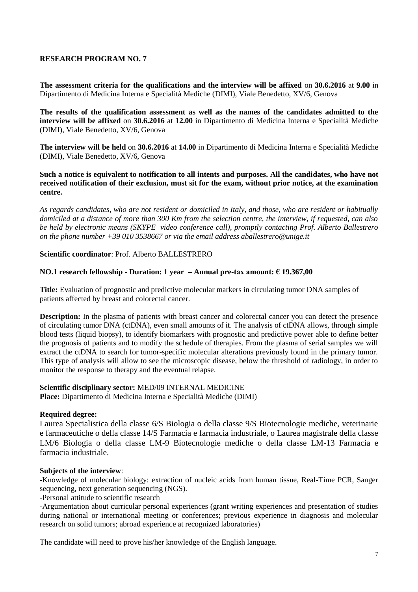**The assessment criteria for the qualifications and the interview will be affixed** on **30.6.2016** at **9.00** in Dipartimento di Medicina Interna e Specialità Mediche (DIMI), Viale Benedetto, XV/6, Genova

**The results of the qualification assessment as well as the names of the candidates admitted to the interview will be affixed** on **30.6.2016** at **12.00** in Dipartimento di Medicina Interna e Specialità Mediche (DIMI), Viale Benedetto, XV/6, Genova

**The interview will be held** on **30.6.2016** at **14.00** in Dipartimento di Medicina Interna e Specialità Mediche (DIMI), Viale Benedetto, XV/6, Genova

**Such a notice is equivalent to notification to all intents and purposes. All the candidates, who have not received notification of their exclusion, must sit for the exam, without prior notice, at the examination centre.**

*As regards candidates, who are not resident or domiciled in Italy, and those, who are resident or habitually domiciled at a distance of more than 300 Km from the selection centre, the interview, if requested, can also be held by electronic means (SKYPE video conference call), promptly contacting Prof. Alberto Ballestrero on the phone number +39 010 3538667 or via the email address aballestrero@unige.it*

**Scientific coordinator**: Prof. Alberto BALLESTRERO

#### **NO.1 research fellowship - Duration: 1 year – Annual pre-tax amount: € 19.367,00**

**Title:** Evaluation of prognostic and predictive molecular markers in circulating tumor DNA samples of patients affected by breast and colorectal cancer.

**Description:** In the plasma of patients with breast cancer and colorectal cancer you can detect the presence of circulating tumor DNA (ctDNA), even small amounts of it. The analysis of ctDNA allows, through simple blood tests (liquid biopsy), to identify biomarkers with prognostic and predictive power able to define better the prognosis of patients and to modify the schedule of therapies. From the plasma of serial samples we will extract the ctDNA to search for tumor-specific molecular alterations previously found in the primary tumor. This type of analysis will allow to see the microscopic disease, below the threshold of radiology, in order to monitor the response to therapy and the eventual relapse.

#### **Scientific disciplinary sector:** MED/09 INTERNAL MEDICINE

**Place:** Dipartimento di Medicina Interna e Specialità Mediche (DIMI)

#### **Required degree:**

Laurea Specialistica della classe 6/S Biologia o della classe 9/S Biotecnologie mediche, veterinarie e farmaceutiche o della classe 14/S Farmacia e farmacia industriale, o Laurea magistrale della classe LM/6 Biologia o della classe LM-9 Biotecnologie mediche o della classe LM-13 Farmacia e farmacia industriale.

#### **Subjects of the interview**:

-Knowledge of molecular biology: extraction of nucleic acids from human tissue, Real-Time PCR, Sanger sequencing, next generation sequencing (NGS).

-Personal attitude to scientific research

-Argumentation about curricular personal experiences (grant writing experiences and presentation of studies during national or international meeting or conferences; previous experience in diagnosis and molecular research on solid tumors; abroad experience at recognized laboratories)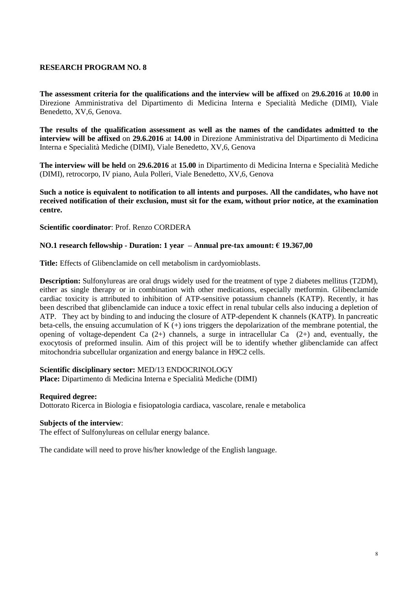**The assessment criteria for the qualifications and the interview will be affixed** on **29.6.2016** at **10.00** in Direzione Amministrativa del Dipartimento di Medicina Interna e Specialità Mediche (DIMI), Viale Benedetto, XV,6, Genova.

**The results of the qualification assessment as well as the names of the candidates admitted to the interview will be affixed** on **29.6.2016** at **14.00** in Direzione Amministrativa del Dipartimento di Medicina Interna e Specialità Mediche (DIMI), Viale Benedetto, XV,6, Genova

**The interview will be held** on **29.6.2016** at **15.00** in Dipartimento di Medicina Interna e Specialità Mediche (DIMI), retrocorpo, IV piano, Aula Polleri, Viale Benedetto, XV,6, Genova

**Such a notice is equivalent to notification to all intents and purposes. All the candidates, who have not received notification of their exclusion, must sit for the exam, without prior notice, at the examination centre.**

#### **Scientific coordinator**: Prof. Renzo CORDERA

# **NO.1 research fellowship - Duration: 1 year – Annual pre-tax amount: € 19.367,00**

**Title:** Effects of Glibenclamide on cell metabolism in cardyomioblasts.

**Description:** Sulfonylureas are oral drugs widely used for the treatment of type 2 diabetes mellitus (T2DM), either as single therapy or in combination with other medications, especially metformin. Glibenclamide cardiac toxicity is attributed to inhibition of ATP-sensitive potassium channels (KATP). Recently, it has been described that glibenclamide can induce a toxic effect in renal tubular cells also inducing a depletion of ATP. They act by binding to and inducing the closure of ATP-dependent K channels (KATP). In pancreatic beta-cells, the ensuing accumulation of K (+) ions triggers the depolarization of the membrane potential, the opening of voltage-dependent Ca (2+) channels, a surge in intracellular Ca (2+) and, eventually, the exocytosis of preformed insulin. Aim of this project will be to identify whether glibenclamide can affect mitochondria subcellular organization and energy balance in H9C2 cells.

# **Scientific disciplinary sector:** MED/13 ENDOCRINOLOGY

**Place:** Dipartimento di Medicina Interna e Specialità Mediche (DIMI)

#### **Required degree:**

Dottorato Ricerca in Biologia e fisiopatologia cardiaca, vascolare, renale e metabolica

#### **Subjects of the interview**:

The effect of Sulfonylureas on cellular energy balance.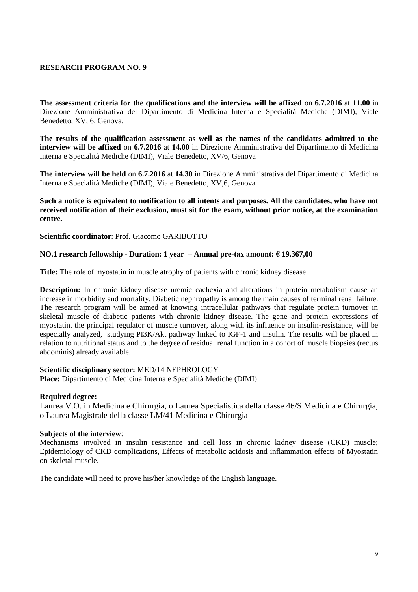**The assessment criteria for the qualifications and the interview will be affixed** on **6.7.2016** at **11.00** in Direzione Amministrativa del Dipartimento di Medicina Interna e Specialità Mediche (DIMI), Viale Benedetto, XV, 6, Genova.

**The results of the qualification assessment as well as the names of the candidates admitted to the interview will be affixed** on **6.7.2016** at **14.00** in Direzione Amministrativa del Dipartimento di Medicina Interna e Specialità Mediche (DIMI), Viale Benedetto, XV/6, Genova

**The interview will be held** on **6.7.2016** at **14.30** in Direzione Amministrativa del Dipartimento di Medicina Interna e Specialità Mediche (DIMI), Viale Benedetto, XV,6, Genova

**Such a notice is equivalent to notification to all intents and purposes. All the candidates, who have not received notification of their exclusion, must sit for the exam, without prior notice, at the examination centre.**

**Scientific coordinator**: Prof. Giacomo GARIBOTTO

#### **NO.1 research fellowship - Duration: 1 year – Annual pre-tax amount: € 19.367,00**

**Title:** The role of myostatin in muscle atrophy of patients with chronic kidney disease.

**Description:** In chronic kidney disease uremic cachexia and alterations in protein metabolism cause an increase in morbidity and mortality. Diabetic nephropathy is among the main causes of terminal renal failure. The research program will be aimed at knowing intracellular pathways that regulate protein turnover in skeletal muscle of diabetic patients with chronic kidney disease. The gene and protein expressions of myostatin, the principal regulator of muscle turnover, along with its influence on insulin-resistance, will be especially analyzed, studying PI3K/Akt pathway linked to IGF-1 and insulin. The results will be placed in relation to nutritional status and to the degree of residual renal function in a cohort of muscle biopsies (rectus abdominis) already available.

#### **Scientific disciplinary sector:** MED/14 NEPHROLOGY

**Place:** Dipartimento di Medicina Interna e Specialità Mediche (DIMI)

#### **Required degree:**

Laurea V.O. in Medicina e Chirurgia, o Laurea Specialistica della classe 46/S Medicina e Chirurgia, o Laurea Magistrale della classe LM/41 Medicina e Chirurgia

#### **Subjects of the interview**:

Mechanisms involved in insulin resistance and cell loss in chronic kidney disease (CKD) muscle; Epidemiology of CKD complications, Effects of metabolic acidosis and inflammation effects of Myostatin on skeletal muscle.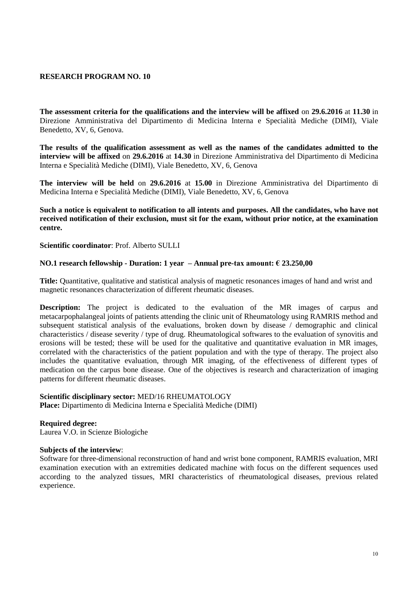**The assessment criteria for the qualifications and the interview will be affixed** on **29.6.2016** at **11.30** in Direzione Amministrativa del Dipartimento di Medicina Interna e Specialità Mediche (DIMI), Viale Benedetto, XV, 6, Genova.

**The results of the qualification assessment as well as the names of the candidates admitted to the interview will be affixed** on **29.6.2016** at **14.30** in Direzione Amministrativa del Dipartimento di Medicina Interna e Specialità Mediche (DIMI), Viale Benedetto, XV, 6, Genova

**The interview will be held** on **29.6.2016** at **15.00** in Direzione Amministrativa del Dipartimento di Medicina Interna e Specialità Mediche (DIMI), Viale Benedetto, XV, 6, Genova

**Such a notice is equivalent to notification to all intents and purposes. All the candidates, who have not received notification of their exclusion, must sit for the exam, without prior notice, at the examination centre.**

**Scientific coordinator**: Prof. Alberto SULLI

# **NO.1 research fellowship - Duration: 1 year – Annual pre-tax amount: € 23.250,00**

**Title:** Quantitative, qualitative and statistical analysis of magnetic resonances images of hand and wrist and magnetic resonances characterization of different rheumatic diseases.

**Description:** The project is dedicated to the evaluation of the MR images of carpus and metacarpophalangeal joints of patients attending the clinic unit of Rheumatology using RAMRIS method and subsequent statistical analysis of the evaluations, broken down by disease / demographic and clinical characteristics / disease severity / type of drug. Rheumatological softwares to the evaluation of synovitis and erosions will be tested; these will be used for the qualitative and quantitative evaluation in MR images, correlated with the characteristics of the patient population and with the type of therapy. The project also includes the quantitative evaluation, through MR imaging, of the effectiveness of different types of medication on the carpus bone disease. One of the objectives is research and characterization of imaging patterns for different rheumatic diseases.

#### **Scientific disciplinary sector:** MED/16 RHEUMATOLOGY

**Place:** Dipartimento di Medicina Interna e Specialità Mediche (DIMI)

#### **Required degree:**

Laurea V.O. in Scienze Biologiche

#### **Subjects of the interview**:

Software for three-dimensional reconstruction of hand and wrist bone component, RAMRIS evaluation, MRI examination execution with an extremities dedicated machine with focus on the different sequences used according to the analyzed tissues, MRI characteristics of rheumatological diseases, previous related experience.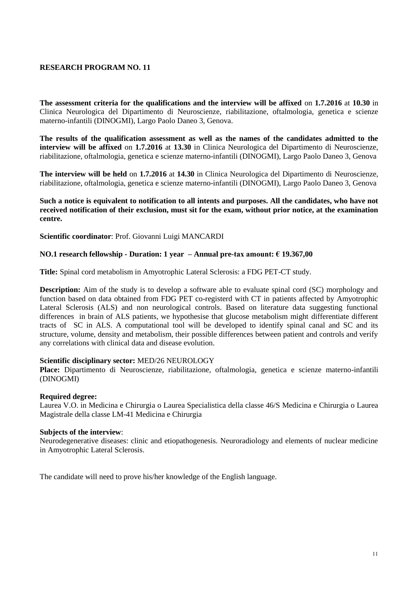**The assessment criteria for the qualifications and the interview will be affixed** on **1.7.2016** at **10.30** in Clinica Neurologica del Dipartimento di Neuroscienze, riabilitazione, oftalmologia, genetica e scienze materno-infantili (DINOGMI), Largo Paolo Daneo 3, Genova.

**The results of the qualification assessment as well as the names of the candidates admitted to the interview will be affixed** on **1.7.2016** at **13.30** in Clinica Neurologica del Dipartimento di Neuroscienze, riabilitazione, oftalmologia, genetica e scienze materno-infantili (DINOGMI), Largo Paolo Daneo 3, Genova

**The interview will be held** on **1.7.2016** at **14.30** in Clinica Neurologica del Dipartimento di Neuroscienze, riabilitazione, oftalmologia, genetica e scienze materno-infantili (DINOGMI), Largo Paolo Daneo 3, Genova

#### **Such a notice is equivalent to notification to all intents and purposes. All the candidates, who have not received notification of their exclusion, must sit for the exam, without prior notice, at the examination centre.**

**Scientific coordinator**: Prof. Giovanni Luigi MANCARDI

#### **NO.1 research fellowship - Duration: 1 year – Annual pre-tax amount: € 19.367,00**

**Title:** Spinal cord metabolism in Amyotrophic Lateral Sclerosis: a FDG PET-CT study.

**Description:** Aim of the study is to develop a software able to evaluate spinal cord (SC) morphology and function based on data obtained from FDG PET co-registerd with CT in patients affected by Amyotrophic Lateral Sclerosis (ALS) and non neurological controls. Based on literature data suggesting functional differences in brain of ALS patients, we hypothesise that glucose metabolism might differentiate different tracts of SC in ALS. A computational tool will be developed to identify spinal canal and SC and its structure, volume, density and metabolism, their possible differences between patient and controls and verify any correlations with clinical data and disease evolution.

#### **Scientific disciplinary sector:** MED/26 NEUROLOGY

**Place:** Dipartimento di Neuroscienze, riabilitazione, oftalmologia, genetica e scienze materno-infantili (DINOGMI)

#### **Required degree:**

Laurea V.O. in Medicina e Chirurgia o Laurea Specialistica della classe 46/S Medicina e Chirurgia o Laurea Magistrale della classe LM-41 Medicina e Chirurgia

#### **Subjects of the interview**:

Neurodegenerative diseases: clinic and etiopathogenesis. Neuroradiology and elements of nuclear medicine in Amyotrophic Lateral Sclerosis.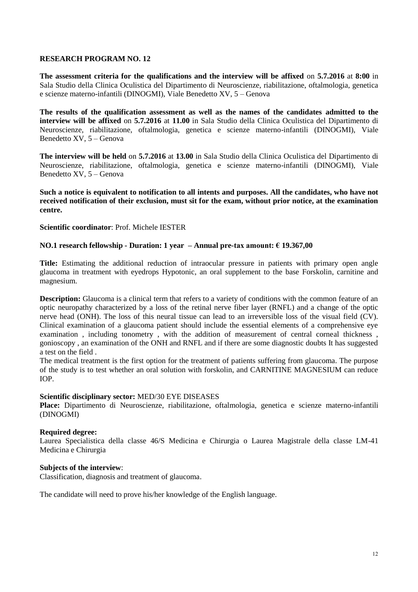**The assessment criteria for the qualifications and the interview will be affixed** on **5.7.2016** at **8:00** in Sala Studio della Clinica Oculistica del Dipartimento di Neuroscienze, riabilitazione, oftalmologia, genetica e scienze materno-infantili (DINOGMI), Viale Benedetto XV, 5 – Genova

**The results of the qualification assessment as well as the names of the candidates admitted to the interview will be affixed** on **5.7.2016** at **11.00** in Sala Studio della Clinica Oculistica del Dipartimento di Neuroscienze, riabilitazione, oftalmologia, genetica e scienze materno-infantili (DINOGMI), Viale Benedetto XV, 5 – Genova

**The interview will be held** on **5.7.2016** at **13.00** in Sala Studio della Clinica Oculistica del Dipartimento di Neuroscienze, riabilitazione, oftalmologia, genetica e scienze materno-infantili (DINOGMI), Viale Benedetto XV, 5 – Genova

**Such a notice is equivalent to notification to all intents and purposes. All the candidates, who have not received notification of their exclusion, must sit for the exam, without prior notice, at the examination centre.**

#### **Scientific coordinator**: Prof. Michele IESTER

# **NO.1 research fellowship - Duration: 1 year – Annual pre-tax amount: € 19.367,00**

**Title:** Estimating the additional reduction of intraocular pressure in patients with primary open angle glaucoma in treatment with eyedrops Hypotonic, an oral supplement to the base Forskolin, carnitine and magnesium.

**Description:** Glaucoma is a clinical term that refers to a variety of conditions with the common feature of an optic neuropathy characterized by a loss of the retinal nerve fiber layer (RNFL) and a change of the optic nerve head (ONH). The loss of this neural tissue can lead to an irreversible loss of the visual field (CV). Clinical examination of a glaucoma patient should include the essential elements of a comprehensive eye examination , including tonometry , with the addition of measurement of central corneal thickness , gonioscopy , an examination of the ONH and RNFL and if there are some diagnostic doubts It has suggested a test on the field .

The medical treatment is the first option for the treatment of patients suffering from glaucoma. The purpose of the study is to test whether an oral solution with forskolin, and CARNITINE MAGNESIUM can reduce IOP.

#### **Scientific disciplinary sector:** MED/30 EYE DISEASES

**Place:** Dipartimento di Neuroscienze, riabilitazione, oftalmologia, genetica e scienze materno-infantili (DINOGMI)

#### **Required degree:**

Laurea Specialistica della classe 46/S Medicina e Chirurgia o Laurea Magistrale della classe LM-41 Medicina e Chirurgia

#### **Subjects of the interview**:

Classification, diagnosis and treatment of glaucoma.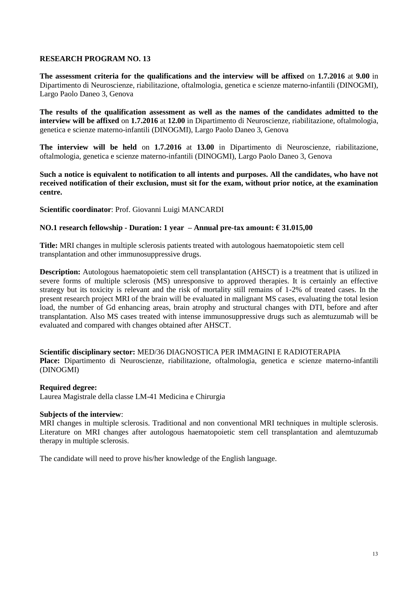**The assessment criteria for the qualifications and the interview will be affixed** on **1.7.2016** at **9.00** in Dipartimento di Neuroscienze, riabilitazione, oftalmologia, genetica e scienze materno-infantili (DINOGMI), Largo Paolo Daneo 3, Genova

**The results of the qualification assessment as well as the names of the candidates admitted to the interview will be affixed** on **1.7.2016** at **12.00** in Dipartimento di Neuroscienze, riabilitazione, oftalmologia, genetica e scienze materno-infantili (DINOGMI), Largo Paolo Daneo 3, Genova

**The interview will be held** on **1.7.2016** at **13.00** in Dipartimento di Neuroscienze, riabilitazione, oftalmologia, genetica e scienze materno-infantili (DINOGMI), Largo Paolo Daneo 3, Genova

**Such a notice is equivalent to notification to all intents and purposes. All the candidates, who have not received notification of their exclusion, must sit for the exam, without prior notice, at the examination centre.**

**Scientific coordinator**: Prof. Giovanni Luigi MANCARDI

#### **NO.1 research fellowship - Duration: 1 year – Annual pre-tax amount: € 31.015,00**

**Title:** MRI changes in multiple sclerosis patients treated with autologous haematopoietic stem cell transplantation and other immunosuppressive drugs.

**Description:** Autologous haematopoietic stem cell transplantation (AHSCT) is a treatment that is utilized in severe forms of multiple sclerosis (MS) unresponsive to approved therapies. It is certainly an effective strategy but its toxicity is relevant and the risk of mortality still remains of 1-2% of treated cases. In the present research project MRI of the brain will be evaluated in malignant MS cases, evaluating the total lesion load, the number of Gd enhancing areas, brain atrophy and structural changes with DTI, before and after transplantation. Also MS cases treated with intense immunosuppressive drugs such as alemtuzumab will be evaluated and compared with changes obtained after AHSCT.

**Scientific disciplinary sector:** MED/36 DIAGNOSTICA PER IMMAGINI E RADIOTERAPIA **Place:** Dipartimento di Neuroscienze, riabilitazione, oftalmologia, genetica e scienze materno-infantili (DINOGMI)

#### **Required degree:**

Laurea Magistrale della classe LM-41 Medicina e Chirurgia

#### **Subjects of the interview**:

MRI changes in multiple sclerosis. Traditional and non conventional MRI techniques in multiple sclerosis. Literature on MRI changes after autologous haematopoietic stem cell transplantation and alemtuzumab therapy in multiple sclerosis.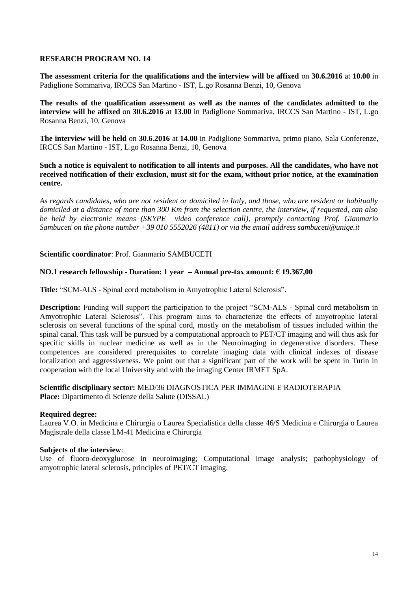**The assessment criteria for the qualifications and the interview will be affixed** on **30.6.2016** at **10.00** in Padiglione Sommariva, IRCCS San Martino - IST, L.go Rosanna Benzi, 10, Genova

**The results of the qualification assessment as well as the names of the candidates admitted to the interview will be affixed** on **30.6.2016** at **13.00** in Padiglione Sommariva, IRCCS San Martino - IST, L.go Rosanna Benzi, 10, Genova

**The interview will be held** on **30.6.2016** at **14.00** in Padiglione Sommariva, primo piano, Sala Conferenze, IRCCS San Martino - IST, L.go Rosanna Benzi, 10, Genova

**Such a notice is equivalent to notification to all intents and purposes. All the candidates, who have not received notification of their exclusion, must sit for the exam, without prior notice, at the examination centre.**

*As regards candidates, who are not resident or domiciled in Italy, and those, who are resident or habitually domiciled at a distance of more than 300 Km from the selection centre, the interview, if requested, can also be held by electronic means (SKYPE video conference call), promptly contacting Prof. Gianmario Sambuceti on the phone number +39 010 5552026 (4811) or via the email address sambuceti@unige.it*

#### **Scientific coordinator**: Prof. Gianmario SAMBUCETI

#### **NO.1 research fellowship - Duration: 1 year – Annual pre-tax amount: € 19.367,00**

**Title:** "SCM-ALS - Spinal cord metabolism in Amyotrophic Lateral Sclerosis".

**Description:** Funding will support the participation to the project "SCM-ALS - Spinal cord metabolism in Amyotrophic Lateral Sclerosis". This program aims to characterize the effects of amyotrophic lateral sclerosis on several functions of the spinal cord, mostly on the metabolism of tissues included within the spinal canal. This task will be pursued by a computational approach to PET/CT imaging and will thus ask for specific skills in nuclear medicine as well as in the Neuroimaging in degenerative disorders. These competences are considered prerequisites to correlate imaging data with clinical indexes of disease localization and aggressiveness. We point out that a significant part of the work will be spent in Turin in cooperation with the local University and with the imaging Center IRMET SpA.

#### **Scientific disciplinary sector:** MED/36 DIAGNOSTICA PER IMMAGINI E RADIOTERAPIA **Place:** Dipartimento di Scienze della Salute (DISSAL)

#### **Required degree:**

Laurea V.O. in Medicina e Chirurgia o Laurea Specialistica della classe 46/S Medicina e Chirurgia o Laurea Magistrale della classe LM-41 Medicina e Chirurgia

#### **Subjects of the interview**:

Use of fluoro-deoxyglucose in neuroimaging; Computational image analysis; pathophysiology of amyotrophic lateral sclerosis, principles of PET/CT imaging.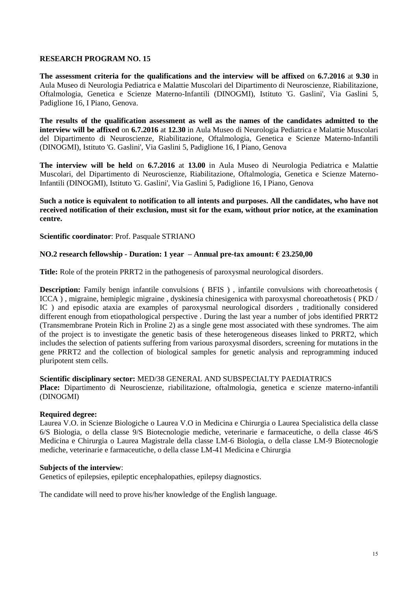**The assessment criteria for the qualifications and the interview will be affixed** on **6.7.2016** at **9.30** in Aula Museo di Neurologia Pediatrica e Malattie Muscolari del Dipartimento di Neuroscienze, Riabilitazione, Oftalmologia, Genetica e Scienze Materno-Infantili (DINOGMI), Istituto 'G. Gaslini', Via Gaslini 5, Padiglione 16, I Piano, Genova.

**The results of the qualification assessment as well as the names of the candidates admitted to the interview will be affixed** on **6.7.2016** at **12.30** in Aula Museo di Neurologia Pediatrica e Malattie Muscolari del Dipartimento di Neuroscienze, Riabilitazione, Oftalmologia, Genetica e Scienze Materno-Infantili (DINOGMI), Istituto 'G. Gaslini', Via Gaslini 5, Padiglione 16, I Piano, Genova

**The interview will be held** on **6.7.2016** at **13.00** in Aula Museo di Neurologia Pediatrica e Malattie Muscolari, del Dipartimento di Neuroscienze, Riabilitazione, Oftalmologia, Genetica e Scienze Materno-Infantili (DINOGMI), Istituto 'G. Gaslini', Via Gaslini 5, Padiglione 16, I Piano, Genova

#### **Such a notice is equivalent to notification to all intents and purposes. All the candidates, who have not received notification of their exclusion, must sit for the exam, without prior notice, at the examination centre.**

**Scientific coordinator**: Prof. Pasquale STRIANO

# **NO.2 research fellowship - Duration: 1 year – Annual pre-tax amount: € 23.250,00**

**Title:** Role of the protein PRRT2 in the pathogenesis of paroxysmal neurological disorders.

**Description:** Family benign infantile convulsions (BFIS), infantile convulsions with choreoathetosis ( ICCA ) , migraine, hemiplegic migraine , dyskinesia chinesigenica with paroxysmal choreoathetosis ( PKD / IC ) and episodic ataxia are examples of paroxysmal neurological disorders , traditionally considered different enough from etiopathological perspective . During the last year a number of jobs identified PRRT2 (Transmembrane Protein Rich in Proline 2) as a single gene most associated with these syndromes. The aim of the project is to investigate the genetic basis of these heterogeneous diseases linked to PRRT2, which includes the selection of patients suffering from various paroxysmal disorders, screening for mutations in the gene PRRT2 and the collection of biological samples for genetic analysis and reprogramming induced pluripotent stem cells.

# **Scientific disciplinary sector:** MED/38 GENERAL AND SUBSPECIALTY PAEDIATRICS

**Place:** Dipartimento di Neuroscienze, riabilitazione, oftalmologia, genetica e scienze materno-infantili (DINOGMI)

#### **Required degree:**

Laurea V.O. in Scienze Biologiche o Laurea V.O in Medicina e Chirurgia o Laurea Specialistica della classe 6/S Biologia, o della classe 9/S Biotecnologie mediche, veterinarie e farmaceutiche, o della classe 46/S Medicina e Chirurgia o Laurea Magistrale della classe LM-6 Biologia, o della classe LM-9 Biotecnologie mediche, veterinarie e farmaceutiche, o della classe LM-41 Medicina e Chirurgia

#### **Subjects of the interview**:

Genetics of epilepsies, epileptic encephalopathies, epilepsy diagnostics.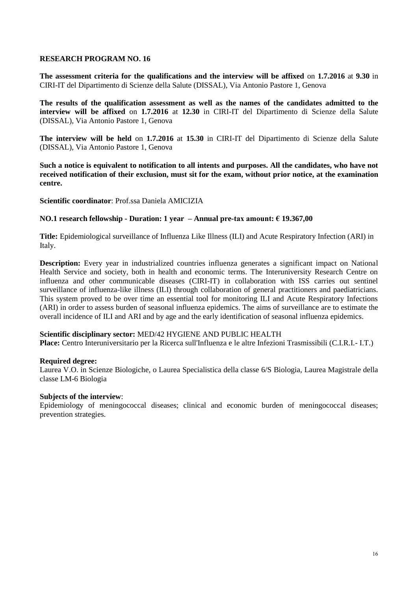**The assessment criteria for the qualifications and the interview will be affixed** on **1.7.2016** at **9.30** in CIRI-IT del Dipartimento di Scienze della Salute (DISSAL), Via Antonio Pastore 1, Genova

**The results of the qualification assessment as well as the names of the candidates admitted to the interview will be affixed** on **1.7.2016** at **12.30** in CIRI-IT del Dipartimento di Scienze della Salute (DISSAL), Via Antonio Pastore 1, Genova

**The interview will be held** on **1.7.2016** at **15.30** in CIRI-IT del Dipartimento di Scienze della Salute (DISSAL), Via Antonio Pastore 1, Genova

**Such a notice is equivalent to notification to all intents and purposes. All the candidates, who have not received notification of their exclusion, must sit for the exam, without prior notice, at the examination centre.**

**Scientific coordinator**: Prof.ssa Daniela AMICIZIA

#### **NO.1 research fellowship - Duration: 1 year – Annual pre-tax amount: € 19.367,00**

**Title:** Epidemiological surveillance of Influenza Like Illness (ILI) and Acute Respiratory Infection (ARI) in Italy.

**Description:** Every year in industrialized countries influenza generates a significant impact on National Health Service and society, both in health and economic terms. The Interuniversity Research Centre on influenza and other communicable diseases (CIRI-IT) in collaboration with ISS carries out sentinel surveillance of influenza-like illness (ILI) through collaboration of general practitioners and paediatricians. This system proved to be over time an essential tool for monitoring ILI and Acute Respiratory Infections (ARI) in order to assess burden of seasonal influenza epidemics. The aims of surveillance are to estimate the overall incidence of ILI and ARI and by age and the early identification of seasonal influenza epidemics.

#### **Scientific disciplinary sector:** MED/42 HYGIENE AND PUBLIC HEALTH

**Place:** Centro Interuniversitario per la Ricerca sull'Influenza e le altre Infezioni Trasmissibili (C.I.R.I.- I.T.)

#### **Required degree:**

Laurea V.O. in Scienze Biologiche, o Laurea Specialistica della classe 6/S Biologia, Laurea Magistrale della classe LM-6 Biologia

#### **Subjects of the interview**:

Epidemiology of meningococcal diseases; clinical and economic burden of meningococcal diseases; prevention strategies.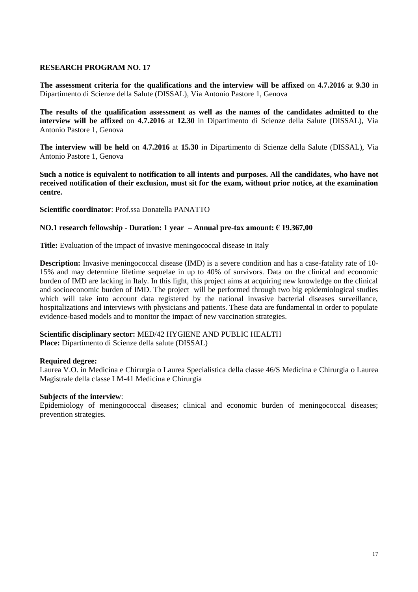**The assessment criteria for the qualifications and the interview will be affixed** on **4.7.2016** at **9.30** in Dipartimento di Scienze della Salute (DISSAL), Via Antonio Pastore 1, Genova

**The results of the qualification assessment as well as the names of the candidates admitted to the interview will be affixed** on **4.7.2016** at **12.30** in Dipartimento di Scienze della Salute (DISSAL), Via Antonio Pastore 1, Genova

**The interview will be held** on **4.7.2016** at **15.30** in Dipartimento di Scienze della Salute (DISSAL), Via Antonio Pastore 1, Genova

**Such a notice is equivalent to notification to all intents and purposes. All the candidates, who have not received notification of their exclusion, must sit for the exam, without prior notice, at the examination centre.**

**Scientific coordinator**: Prof.ssa Donatella PANATTO

#### **NO.1 research fellowship - Duration: 1 year – Annual pre-tax amount: € 19.367,00**

**Title:** Evaluation of the impact of invasive meningococcal disease in Italy

**Description:** Invasive meningococcal disease (IMD) is a severe condition and has a case-fatality rate of 10-15% and may determine lifetime sequelae in up to 40% of survivors. Data on the clinical and economic burden of IMD are lacking in Italy. In this light, this project aims at acquiring new knowledge on the clinical and socioeconomic burden of IMD. The project will be performed through two big epidemiological studies which will take into account data registered by the national invasive bacterial diseases surveillance, hospitalizations and interviews with physicians and patients. These data are fundamental in order to populate evidence-based models and to monitor the impact of new vaccination strategies.

# **Scientific disciplinary sector:** MED/42 HYGIENE AND PUBLIC HEALTH

**Place:** Dipartimento di Scienze della salute (DISSAL)

#### **Required degree:**

Laurea V.O. in Medicina e Chirurgia o Laurea Specialistica della classe 46/S Medicina e Chirurgia o Laurea Magistrale della classe LM-41 Medicina e Chirurgia

#### **Subjects of the interview**:

Epidemiology of meningococcal diseases; clinical and economic burden of meningococcal diseases; prevention strategies.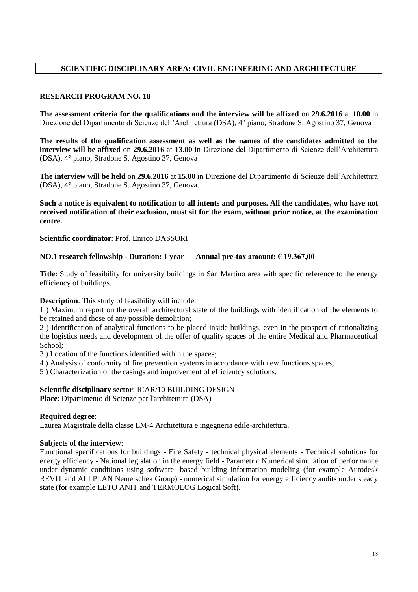# **SCIENTIFIC DISCIPLINARY AREA: CIVIL ENGINEERING AND ARCHITECTURE**

#### **RESEARCH PROGRAM NO. 18**

**The assessment criteria for the qualifications and the interview will be affixed** on **29.6.2016** at **10.00** in Direzione del Dipartimento di Scienze dell'Architettura (DSA), 4° piano, Stradone S. Agostino 37, Genova

**The results of the qualification assessment as well as the names of the candidates admitted to the interview will be affixed** on **29.6.2016** at **13.00** in Direzione del Dipartimento di Scienze dell'Architettura (DSA), 4° piano, Stradone S. Agostino 37, Genova

**The interview will be held** on **29.6.2016** at **15.00** in Direzione del Dipartimento di Scienze dell'Architettura (DSA), 4° piano, Stradone S. Agostino 37, Genova.

**Such a notice is equivalent to notification to all intents and purposes. All the candidates, who have not received notification of their exclusion, must sit for the exam, without prior notice, at the examination centre.**

**Scientific coordinator**: Prof. Enrico DASSORI

# **NO.1 research fellowship - Duration: 1 year – Annual pre-tax amount: € 19.367,00**

**Title**: Study of feasibility for university buildings in San Martino area with specific reference to the energy efficiency of buildings.

**Description**: This study of feasibility will include:

1 ) Maximum report on the overall architectural state of the buildings with identification of the elements to be retained and those of any possible demolition;

2 ) Identification of analytical functions to be placed inside buildings, even in the prospect of rationalizing the logistics needs and development of the offer of quality spaces of the entire Medical and Pharmaceutical School;

3 ) Location of the functions identified within the spaces;

4 ) Analysis of conformity of fire prevention systems in accordance with new functions spaces;

5 ) Characterization of the casings and improvement of efficientcy solutions.

#### **Scientific disciplinary sector**: ICAR/10 BUILDING DESIGN

**Place**: Dipartimento di Scienze per l'architettura (DSA)

#### **Required degree**:

Laurea Magistrale della classe LM-4 Architettura e ingegneria edile-architettura.

#### **Subjects of the interview**:

Functional specifications for buildings - Fire Safety - technical physical elements - Technical solutions for energy efficiency - National legislation in the energy field - Parametric Numerical simulation of performance under dynamic conditions using software -based building information modeling (for example Autodesk REVIT and ALLPLAN Nemetschek Group) - numerical simulation for energy efficiency audits under steady state (for example LETO ANIT and TERMOLOG Logical Soft).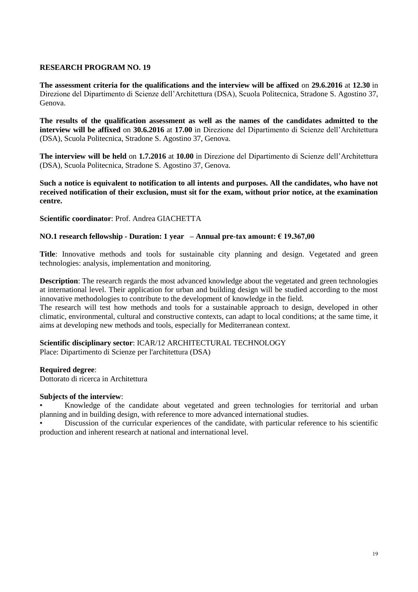**The assessment criteria for the qualifications and the interview will be affixed** on **29.6.2016** at **12.30** in Direzione del Dipartimento di Scienze dell'Architettura (DSA), Scuola Politecnica, Stradone S. Agostino 37, Genova.

**The results of the qualification assessment as well as the names of the candidates admitted to the interview will be affixed** on **30.6.2016** at **17.00** in Direzione del Dipartimento di Scienze dell'Architettura (DSA), Scuola Politecnica, Stradone S. Agostino 37, Genova.

**The interview will be held** on **1.7.2016** at **10.00** in Direzione del Dipartimento di Scienze dell'Architettura (DSA), Scuola Politecnica, Stradone S. Agostino 37, Genova.

**Such a notice is equivalent to notification to all intents and purposes. All the candidates, who have not received notification of their exclusion, must sit for the exam, without prior notice, at the examination centre.**

**Scientific coordinator**: Prof. Andrea GIACHETTA

#### **NO.1 research fellowship - Duration: 1 year – Annual pre-tax amount: € 19.367,00**

**Title**: Innovative methods and tools for sustainable city planning and design. Vegetated and green technologies: analysis, implementation and monitoring.

**Description**: The research regards the most advanced knowledge about the vegetated and green technologies at international level. Their application for urban and building design will be studied according to the most innovative methodologies to contribute to the development of knowledge in the field.

The research will test how methods and tools for a sustainable approach to design, developed in other climatic, environmental, cultural and constructive contexts, can adapt to local conditions; at the same time, it aims at developing new methods and tools, especially for Mediterranean context.

**Scientific disciplinary sector**: ICAR/12 ARCHITECTURAL TECHNOLOGY Place: Dipartimento di Scienze per l'architettura (DSA)

#### **Required degree**:

Dottorato di ricerca in Architettura

#### **Subjects of the interview**:

• Knowledge of the candidate about vegetated and green technologies for territorial and urban planning and in building design, with reference to more advanced international studies.

• Discussion of the curricular experiences of the candidate, with particular reference to his scientific production and inherent research at national and international level.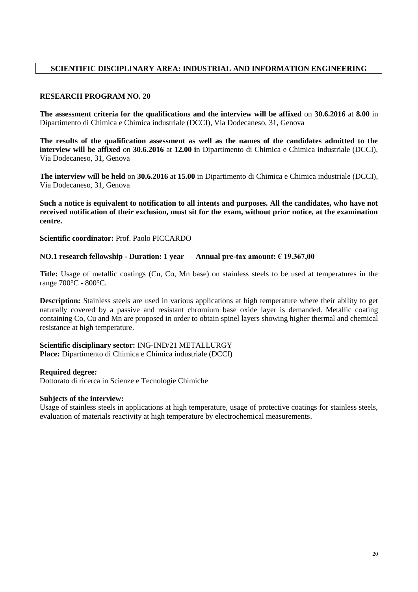# **SCIENTIFIC DISCIPLINARY AREA: INDUSTRIAL AND INFORMATION ENGINEERING**

# **RESEARCH PROGRAM NO. 20**

**The assessment criteria for the qualifications and the interview will be affixed** on **30.6.2016** at **8.00** in Dipartimento di Chimica e Chimica industriale (DCCI), Via Dodecaneso, 31, Genova

**The results of the qualification assessment as well as the names of the candidates admitted to the interview will be affixed** on **30.6.2016** at **12.00 i**n Dipartimento di Chimica e Chimica industriale (DCCI), Via Dodecaneso, 31, Genova

**The interview will be held** on **30.6.2016** at **15.00** in Dipartimento di Chimica e Chimica industriale (DCCI), Via Dodecaneso, 31, Genova

**Such a notice is equivalent to notification to all intents and purposes. All the candidates, who have not received notification of their exclusion, must sit for the exam, without prior notice, at the examination centre.**

**Scientific coordinator:** Prof. Paolo PICCARDO

# **NO.1 research fellowship - Duration: 1 year – Annual pre-tax amount: € 19.367,00**

**Title:** Usage of metallic coatings (Cu, Co, Mn base) on stainless steels to be used at temperatures in the range 700°C - 800°C.

**Description:** Stainless steels are used in various applications at high temperature where their ability to get naturally covered by a passive and resistant chromium base oxide layer is demanded. Metallic coating containing Co, Cu and Mn are proposed in order to obtain spinel layers showing higher thermal and chemical resistance at high temperature.

**Scientific disciplinary sector:** ING-IND/21 METALLURGY **Place:** Dipartimento di Chimica e Chimica industriale (DCCI)

#### **Required degree:**

Dottorato di ricerca in Scienze e Tecnologie Chimiche

#### **Subjects of the interview:**

Usage of stainless steels in applications at high temperature, usage of protective coatings for stainless steels, evaluation of materials reactivity at high temperature by electrochemical measurements.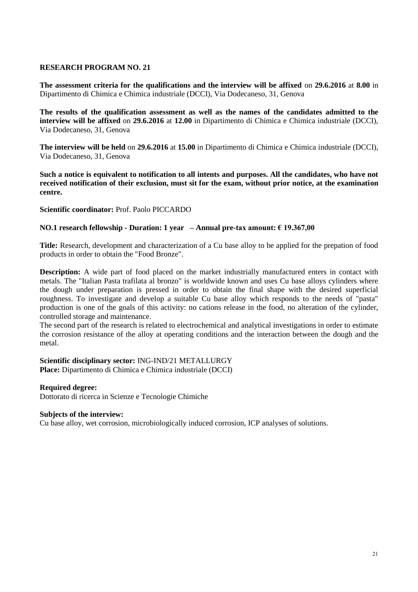**The assessment criteria for the qualifications and the interview will be affixed** on **29.6.2016** at **8.00** in Dipartimento di Chimica e Chimica industriale (DCCI), Via Dodecaneso, 31, Genova

**The results of the qualification assessment as well as the names of the candidates admitted to the interview will be affixed** on **29.6.2016** at **12.00** in Dipartimento di Chimica e Chimica industriale (DCCI), Via Dodecaneso, 31, Genova

**The interview will be held** on **29.6.2016** at **15.00** in Dipartimento di Chimica e Chimica industriale (DCCI), Via Dodecaneso, 31, Genova

**Such a notice is equivalent to notification to all intents and purposes. All the candidates, who have not received notification of their exclusion, must sit for the exam, without prior notice, at the examination centre.**

**Scientific coordinator:** Prof. Paolo PICCARDO

#### **NO.1 research fellowship - Duration: 1 year – Annual pre-tax amount: € 19.367,00**

**Title:** Research, development and characterization of a Cu base alloy to be applied for the prepation of food products in order to obtain the "Food Bronze".

**Description:** A wide part of food placed on the market industrially manufactured enters in contact with metals. The "Italian Pasta trafilata al bronzo" is worldwide known and uses Cu base alloys cylinders where the dough under preparation is pressed in order to obtain the final shape with the desired superficial roughness. To investigate and develop a suitable Cu base alloy which responds to the needs of "pasta" production is one of the goals of this activity: no cations release in the food, no alteration of the cylinder, controlled storage and maintenance.

The second part of the research is related to electrochemical and analytical investigations in order to estimate the corrosion resistance of the alloy at operating conditions and the interaction between the dough and the metal.

**Scientific disciplinary sector:** ING-IND/21 METALLURGY **Place:** Dipartimento di Chimica e Chimica industriale (DCCI)

#### **Required degree:**

Dottorato di ricerca in Scienze e Tecnologie Chimiche

#### **Subjects of the interview:**

Cu base alloy, wet corrosion, microbiologically induced corrosion, ICP analyses of solutions.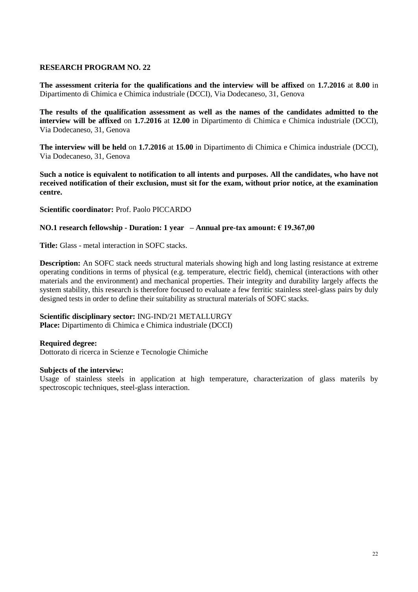**The assessment criteria for the qualifications and the interview will be affixed** on **1.7.2016** at **8.00** in Dipartimento di Chimica e Chimica industriale (DCCI), Via Dodecaneso, 31, Genova

**The results of the qualification assessment as well as the names of the candidates admitted to the interview will be affixed** on **1.7.2016** at **12.00** in Dipartimento di Chimica e Chimica industriale (DCCI), Via Dodecaneso, 31, Genova

**The interview will be held** on **1.7.2016** at **15.00** in Dipartimento di Chimica e Chimica industriale (DCCI), Via Dodecaneso, 31, Genova

**Such a notice is equivalent to notification to all intents and purposes. All the candidates, who have not received notification of their exclusion, must sit for the exam, without prior notice, at the examination centre.**

**Scientific coordinator:** Prof. Paolo PICCARDO

#### **NO.1 research fellowship - Duration: 1 year – Annual pre-tax amount: € 19.367,00**

**Title:** Glass - metal interaction in SOFC stacks.

**Description:** An SOFC stack needs structural materials showing high and long lasting resistance at extreme operating conditions in terms of physical (e.g. temperature, electric field), chemical (interactions with other materials and the environment) and mechanical properties. Their integrity and durability largely affects the system stability, this research is therefore focused to evaluate a few ferritic stainless steel-glass pairs by duly designed tests in order to define their suitability as structural materials of SOFC stacks.

#### **Scientific disciplinary sector:** ING-IND/21 METALLURGY

**Place:** Dipartimento di Chimica e Chimica industriale (DCCI)

#### **Required degree:**

Dottorato di ricerca in Scienze e Tecnologie Chimiche

#### **Subjects of the interview:**

Usage of stainless steels in application at high temperature, characterization of glass materils by spectroscopic techniques, steel-glass interaction.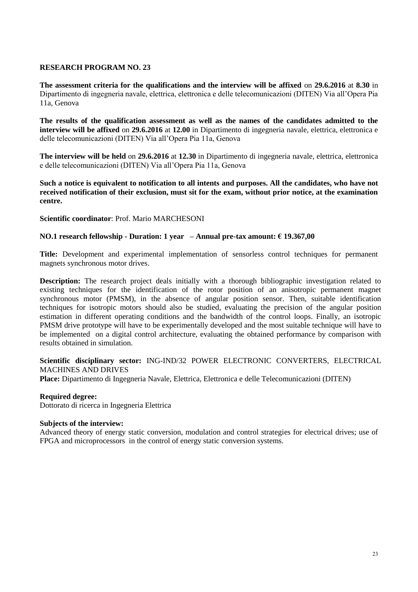**The assessment criteria for the qualifications and the interview will be affixed** on **29.6.2016** at **8.30** in Dipartimento di ingegneria navale, elettrica, elettronica e delle telecomunicazioni (DITEN) Via all'Opera Pia 11a, Genova

**The results of the qualification assessment as well as the names of the candidates admitted to the interview will be affixed** on **29.6.2016** at **12.00** in Dipartimento di ingegneria navale, elettrica, elettronica e delle telecomunicazioni (DITEN) Via all'Opera Pia 11a, Genova

**The interview will be held** on **29.6.2016** at **12.30** in Dipartimento di ingegneria navale, elettrica, elettronica e delle telecomunicazioni (DITEN) Via all'Opera Pia 11a, Genova

**Such a notice is equivalent to notification to all intents and purposes. All the candidates, who have not received notification of their exclusion, must sit for the exam, without prior notice, at the examination centre.**

#### **Scientific coordinator**: Prof. Mario MARCHESONI

#### **NO.1 research fellowship - Duration: 1 year – Annual pre-tax amount: € 19.367,00**

**Title:** Development and experimental implementation of sensorless control techniques for permanent magnets synchronous motor drives.

**Description:** The research project deals initially with a thorough bibliographic investigation related to existing techniques for the identification of the rotor position of an anisotropic permanent magnet synchronous motor (PMSM), in the absence of angular position sensor. Then, suitable identification techniques for isotropic motors should also be studied, evaluating the precision of the angular position estimation in different operating conditions and the bandwidth of the control loops. Finally, an isotropic PMSM drive prototype will have to be experimentally developed and the most suitable technique will have to be implemented on a digital control architecture, evaluating the obtained performance by comparison with results obtained in simulation.

#### **Scientific disciplinary sector:** ING-IND/32 POWER ELECTRONIC CONVERTERS, ELECTRICAL MACHINES AND DRIVES

**Place:** Dipartimento di Ingegneria Navale, Elettrica, Elettronica e delle Telecomunicazioni (DITEN)

#### **Required degree:**

Dottorato di ricerca in Ingegneria Elettrica

#### **Subjects of the interview:**

Advanced theory of energy static conversion, modulation and control strategies for electrical drives; use of FPGA and microprocessors in the control of energy static conversion systems.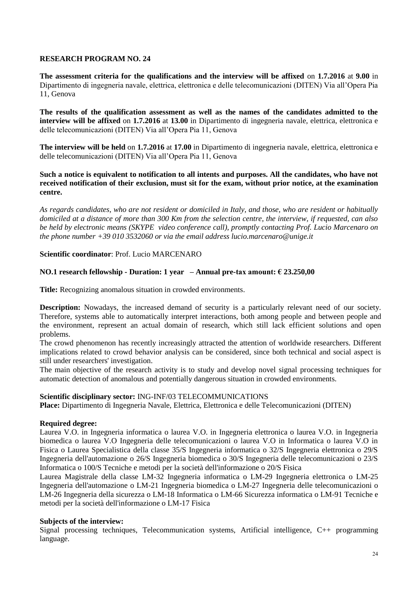**The assessment criteria for the qualifications and the interview will be affixed** on **1.7.2016** at **9.00** in Dipartimento di ingegneria navale, elettrica, elettronica e delle telecomunicazioni (DITEN) Via all'Opera Pia 11, Genova

**The results of the qualification assessment as well as the names of the candidates admitted to the interview will be affixed** on **1.7.2016** at **13.00** in Dipartimento di ingegneria navale, elettrica, elettronica e delle telecomunicazioni (DITEN) Via all'Opera Pia 11, Genova

**The interview will be held** on **1.7.2016** at **17.00** in Dipartimento di ingegneria navale, elettrica, elettronica e delle telecomunicazioni (DITEN) Via all'Opera Pia 11, Genova

#### **Such a notice is equivalent to notification to all intents and purposes. All the candidates, who have not received notification of their exclusion, must sit for the exam, without prior notice, at the examination centre.**

*As regards candidates, who are not resident or domiciled in Italy, and those, who are resident or habitually domiciled at a distance of more than 300 Km from the selection centre, the interview, if requested, can also be held by electronic means (SKYPE video conference call), promptly contacting Prof. Lucio Marcenaro on the phone number +39 010 3532060 or via the email address lucio.marcenaro@unige.it*

# **Scientific coordinator**: Prof. Lucio MARCENARO

# **NO.1 research fellowship - Duration: 1 year – Annual pre-tax amount: € 23.250,00**

**Title:** Recognizing anomalous situation in crowded environments.

**Description:** Nowadays, the increased demand of security is a particularly relevant need of our society. Therefore, systems able to automatically interpret interactions, both among people and between people and the environment, represent an actual domain of research, which still lack efficient solutions and open problems.

The crowd phenomenon has recently increasingly attracted the attention of worldwide researchers. Different implications related to crowd behavior analysis can be considered, since both technical and social aspect is still under researchers' investigation.

The main objective of the research activity is to study and develop novel signal processing techniques for automatic detection of anomalous and potentially dangerous situation in crowded environments.

#### **Scientific disciplinary sector:** ING-INF/03 TELECOMMUNICATIONS

**Place:** Dipartimento di Ingegneria Navale, Elettrica, Elettronica e delle Telecomunicazioni (DITEN)

#### **Required degree:**

Laurea V.O. in Ingegneria informatica o laurea V.O. in Ingegneria elettronica o laurea V.O. in Ingegneria biomedica o laurea V.O Ingegneria delle telecomunicazioni o laurea V.O in Informatica o laurea V.O in Fisica o Laurea Specialistica della classe 35/S Ingegneria informatica o 32/S Ingegneria elettronica o 29/S Ingegneria dell'automazione o 26/S Ingegneria biomedica o 30/S Ingegneria delle telecomunicazioni o 23/S Informatica o 100/S Tecniche e metodi per la società dell'informazione o 20/S Fisica

Laurea Magistrale della classe LM-32 Ingegneria informatica o LM-29 Ingegneria elettronica o LM-25 Ingegneria dell'automazione o LM-21 Ingegneria biomedica o LM-27 Ingegneria delle telecomunicazioni o LM-26 Ingegneria della sicurezza o LM-18 Informatica o LM-66 Sicurezza informatica o LM-91 Tecniche e metodi per la società dell'informazione o LM-17 Fisica

# **Subjects of the interview:**

Signal processing techniques, Telecommunication systems, Artificial intelligence, C++ programming language.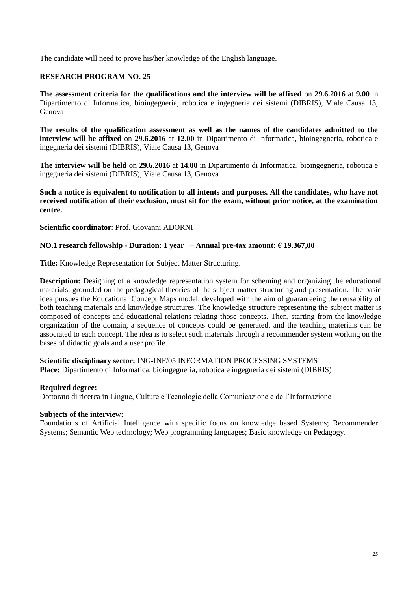The candidate will need to prove his/her knowledge of the English language.

# **RESEARCH PROGRAM NO. 25**

**The assessment criteria for the qualifications and the interview will be affixed** on **29.6.2016** at **9.00** in Dipartimento di Informatica, bioingegneria, robotica e ingegneria dei sistemi (DIBRIS), Viale Causa 13, Genova

**The results of the qualification assessment as well as the names of the candidates admitted to the interview will be affixed** on **29.6.2016** at **12.00** in Dipartimento di Informatica, bioingegneria, robotica e ingegneria dei sistemi (DIBRIS), Viale Causa 13, Genova

**The interview will be held** on **29.6.2016** at **14.00** in Dipartimento di Informatica, bioingegneria, robotica e ingegneria dei sistemi (DIBRIS), Viale Causa 13, Genova

**Such a notice is equivalent to notification to all intents and purposes. All the candidates, who have not received notification of their exclusion, must sit for the exam, without prior notice, at the examination centre.**

**Scientific coordinator**: Prof. Giovanni ADORNI

#### **NO.1 research fellowship - Duration: 1 year – Annual pre-tax amount: € 19.367,00**

**Title:** Knowledge Representation for Subject Matter Structuring.

**Description:** Designing of a knowledge representation system for scheming and organizing the educational materials, grounded on the pedagogical theories of the subject matter structuring and presentation. The basic idea pursues the Educational Concept Maps model, developed with the aim of guaranteeing the reusability of both teaching materials and knowledge structures. The knowledge structure representing the subject matter is composed of concepts and educational relations relating those concepts. Then, starting from the knowledge organization of the domain, a sequence of concepts could be generated, and the teaching materials can be associated to each concept. The idea is to select such materials through a recommender system working on the bases of didactic goals and a user profile.

**Scientific disciplinary sector:** ING-INF/05 INFORMATION PROCESSING SYSTEMS **Place:** Dipartimento di Informatica, bioingegneria, robotica e ingegneria dei sistemi (DIBRIS)

#### **Required degree:**

Dottorato di ricerca in Lingue, Culture e Tecnologie della Comunicazione e dell'Informazione

#### **Subjects of the interview:**

Foundations of Artificial Intelligence with specific focus on knowledge based Systems; Recommender Systems; Semantic Web technology; Web programming languages; Basic knowledge on Pedagogy.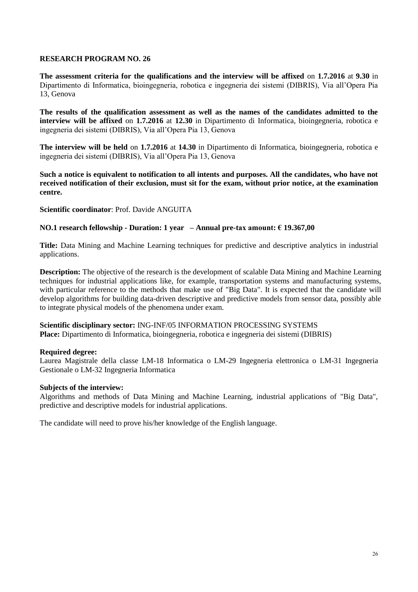**The assessment criteria for the qualifications and the interview will be affixed** on **1.7.2016** at **9.30** in Dipartimento di Informatica, bioingegneria, robotica e ingegneria dei sistemi (DIBRIS), Via all'Opera Pia 13, Genova

**The results of the qualification assessment as well as the names of the candidates admitted to the interview will be affixed** on **1.7.2016** at **12.30** in Dipartimento di Informatica, bioingegneria, robotica e ingegneria dei sistemi (DIBRIS), Via all'Opera Pia 13, Genova

**The interview will be held** on **1.7.2016** at **14.30** in Dipartimento di Informatica, bioingegneria, robotica e ingegneria dei sistemi (DIBRIS), Via all'Opera Pia 13, Genova

**Such a notice is equivalent to notification to all intents and purposes. All the candidates, who have not received notification of their exclusion, must sit for the exam, without prior notice, at the examination centre.**

**Scientific coordinator**: Prof. Davide ANGUITA

# **NO.1 research fellowship - Duration: 1 year – Annual pre-tax amount: € 19.367,00**

**Title:** Data Mining and Machine Learning techniques for predictive and descriptive analytics in industrial applications.

**Description:** The objective of the research is the development of scalable Data Mining and Machine Learning techniques for industrial applications like, for example, transportation systems and manufacturing systems, with particular reference to the methods that make use of "Big Data". It is expected that the candidate will develop algorithms for building data-driven descriptive and predictive models from sensor data, possibly able to integrate physical models of the phenomena under exam.

**Scientific disciplinary sector:** ING-INF/05 INFORMATION PROCESSING SYSTEMS **Place:** Dipartimento di Informatica, bioingegneria, robotica e ingegneria dei sistemi (DIBRIS)

#### **Required degree:**

Laurea Magistrale della classe LM-18 Informatica o LM-29 Ingegneria elettronica o LM-31 Ingegneria Gestionale o LM-32 Ingegneria Informatica

#### **Subjects of the interview:**

Algorithms and methods of Data Mining and Machine Learning, industrial applications of "Big Data", predictive and descriptive models for industrial applications.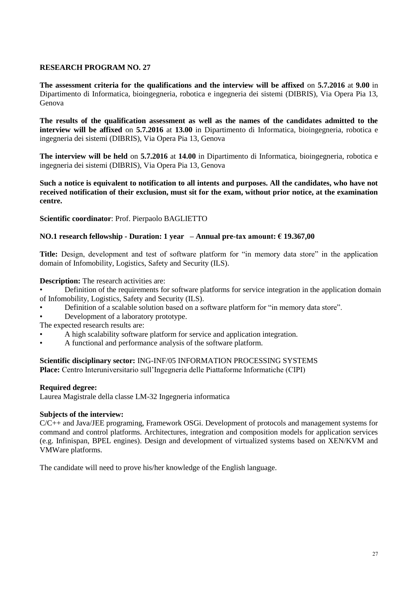**The assessment criteria for the qualifications and the interview will be affixed** on **5.7.2016** at **9.00** in Dipartimento di Informatica, bioingegneria, robotica e ingegneria dei sistemi (DIBRIS), Via Opera Pia 13, Genova

**The results of the qualification assessment as well as the names of the candidates admitted to the interview will be affixed** on **5.7.2016** at **13.00** in Dipartimento di Informatica, bioingegneria, robotica e ingegneria dei sistemi (DIBRIS), Via Opera Pia 13, Genova

**The interview will be held** on **5.7.2016** at **14.00** in Dipartimento di Informatica, bioingegneria, robotica e ingegneria dei sistemi (DIBRIS), Via Opera Pia 13, Genova

**Such a notice is equivalent to notification to all intents and purposes. All the candidates, who have not received notification of their exclusion, must sit for the exam, without prior notice, at the examination centre.**

**Scientific coordinator**: Prof. Pierpaolo BAGLIETTO

# **NO.1 research fellowship - Duration: 1 year – Annual pre-tax amount: € 19.367,00**

**Title:** Design, development and test of software platform for "in memory data store" in the application domain of Infomobility, Logistics, Safety and Security (ILS).

#### **Description:** The research activities are:

- Definition of the requirements for software platforms for service integration in the application domain of Infomobility, Logistics, Safety and Security (ILS).
- Definition of a scalable solution based on a software platform for "in memory data store".
- Development of a laboratory prototype.
- The expected research results are:
- A high scalability software platform for service and application integration.
- A functional and performance analysis of the software platform.

**Scientific disciplinary sector:** ING-INF/05 INFORMATION PROCESSING SYSTEMS **Place:** Centro Interuniversitario sull'Ingegneria delle Piattaforme Informatiche (CIPI)

#### **Required degree:**

Laurea Magistrale della classe LM-32 Ingegneria informatica

#### **Subjects of the interview:**

C/C++ and Java/JEE programing, Framework OSGi. Development of protocols and management systems for command and control platforms. Architectures, integration and composition models for application services (e.g. Infinispan, BPEL engines). Design and development of virtualized systems based on XEN/KVM and VMWare platforms.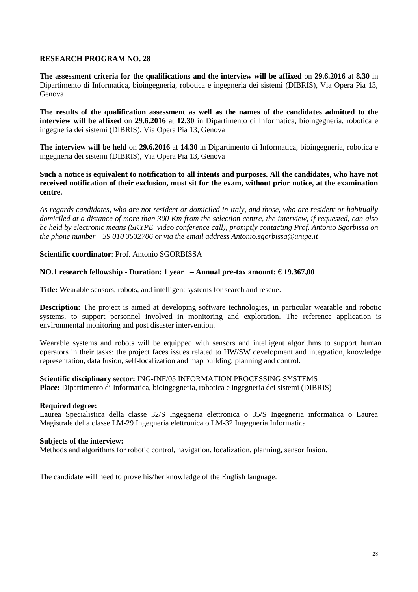**The assessment criteria for the qualifications and the interview will be affixed** on **29.6.2016** at **8.30** in Dipartimento di Informatica, bioingegneria, robotica e ingegneria dei sistemi (DIBRIS), Via Opera Pia 13, Genova

**The results of the qualification assessment as well as the names of the candidates admitted to the interview will be affixed** on **29.6.2016** at **12.30** in Dipartimento di Informatica, bioingegneria, robotica e ingegneria dei sistemi (DIBRIS), Via Opera Pia 13, Genova

**The interview will be held** on **29.6.2016** at **14.30** in Dipartimento di Informatica, bioingegneria, robotica e ingegneria dei sistemi (DIBRIS), Via Opera Pia 13, Genova

**Such a notice is equivalent to notification to all intents and purposes. All the candidates, who have not received notification of their exclusion, must sit for the exam, without prior notice, at the examination centre.**

*As regards candidates, who are not resident or domiciled in Italy, and those, who are resident or habitually domiciled at a distance of more than 300 Km from the selection centre, the interview, if requested, can also be held by electronic means (SKYPE video conference call), promptly contacting Prof. Antonio Sgorbissa on the phone number +39 010 3532706 or via the email address Antonio.sgorbissa@unige.it*

#### **Scientific coordinator**: Prof. Antonio SGORBISSA

#### **NO.1 research fellowship - Duration: 1 year – Annual pre-tax amount: € 19.367,00**

**Title:** Wearable sensors, robots, and intelligent systems for search and rescue.

**Description:** The project is aimed at developing software technologies, in particular wearable and robotic systems, to support personnel involved in monitoring and exploration. The reference application is environmental monitoring and post disaster intervention.

Wearable systems and robots will be equipped with sensors and intelligent algorithms to support human operators in their tasks: the project faces issues related to HW/SW development and integration, knowledge representation, data fusion, self-localization and map building, planning and control.

**Scientific disciplinary sector:** ING-INF/05 INFORMATION PROCESSING SYSTEMS **Place:** Dipartimento di Informatica, bioingegneria, robotica e ingegneria dei sistemi (DIBRIS)

#### **Required degree:**

Laurea Specialistica della classe 32/S Ingegneria elettronica o 35/S Ingegneria informatica o Laurea Magistrale della classe LM-29 Ingegneria elettronica o LM-32 Ingegneria Informatica

#### **Subjects of the interview:**

Methods and algorithms for robotic control, navigation, localization, planning, sensor fusion.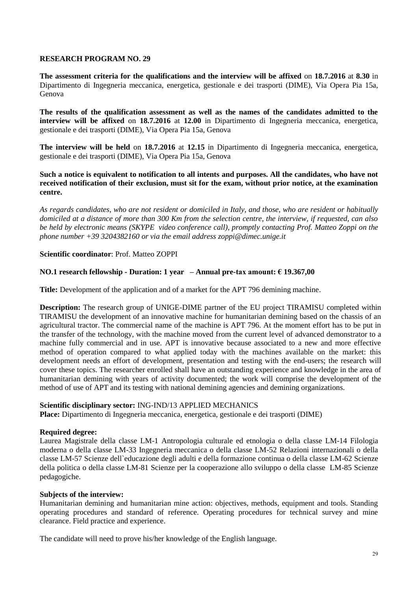**The assessment criteria for the qualifications and the interview will be affixed** on **18.7.2016** at **8.30** in Dipartimento di Ingegneria meccanica, energetica, gestionale e dei trasporti (DIME), Via Opera Pia 15a, Genova

**The results of the qualification assessment as well as the names of the candidates admitted to the interview will be affixed** on **18.7.2016** at **12.00** in Dipartimento di Ingegneria meccanica, energetica, gestionale e dei trasporti (DIME), Via Opera Pia 15a, Genova

**The interview will be held** on **18.7.2016** at **12.15** in Dipartimento di Ingegneria meccanica, energetica, gestionale e dei trasporti (DIME), Via Opera Pia 15a, Genova

**Such a notice is equivalent to notification to all intents and purposes. All the candidates, who have not received notification of their exclusion, must sit for the exam, without prior notice, at the examination centre.**

*As regards candidates, who are not resident or domiciled in Italy, and those, who are resident or habitually domiciled at a distance of more than 300 Km from the selection centre, the interview, if requested, can also be held by electronic means (SKYPE video conference call), promptly contacting Prof. Matteo Zoppi on the phone number +39 3204382160 or via the email address zoppi@dimec.unige.it*

#### **Scientific coordinator**: Prof. Matteo ZOPPI

# **NO.1 research fellowship - Duration: 1 year – Annual pre-tax amount: € 19.367,00**

**Title:** Development of the application and of a market for the APT 796 demining machine.

**Description:** The research group of UNIGE-DIME partner of the EU project TIRAMISU completed within TIRAMISU the development of an innovative machine for humanitarian demining based on the chassis of an agricultural tractor. The commercial name of the machine is APT 796. At the moment effort has to be put in the transfer of the technology, with the machine moved from the current level of advanced demonstrator to a machine fully commercial and in use. APT is innovative because associated to a new and more effective method of operation compared to what applied today with the machines available on the market: this development needs an effort of development, presentation and testing with the end-users; the research will cover these topics. The researcher enrolled shall have an outstanding experience and knowledge in the area of humanitarian demining with years of activity documented; the work will comprise the development of the method of use of APT and its testing with national demining agencies and demining organizations.

#### **Scientific disciplinary sector:** ING-IND/13 APPLIED MECHANICS

**Place:** Dipartimento di Ingegneria meccanica, energetica, gestionale e dei trasporti (DIME)

#### **Required degree:**

Laurea Magistrale della classe LM-1 Antropologia culturale ed etnologia o della classe LM-14 Filologia moderna o della classe LM-33 Ingegneria meccanica o della classe LM-52 Relazioni internazionali o della classe LM-57 Scienze dell`educazione degli adulti e della formazione continua o della classe LM-62 Scienze della politica o della classe LM-81 Scienze per la cooperazione allo sviluppo o della classe LM-85 Scienze pedagogiche.

#### **Subjects of the interview:**

Humanitarian demining and humanitarian mine action: objectives, methods, equipment and tools. Standing operating procedures and standard of reference. Operating procedures for technical survey and mine clearance. Field practice and experience.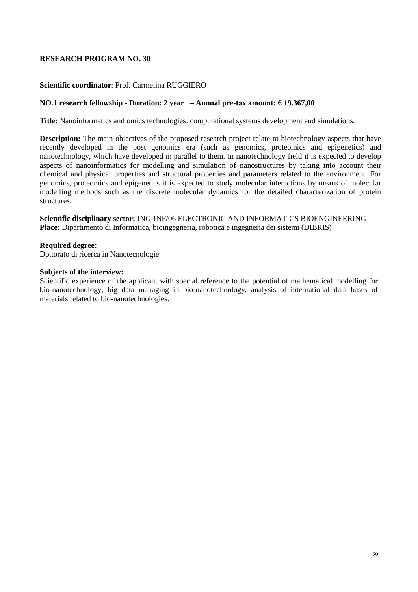# **Scientific coordinator**: Prof. Carmelina RUGGIERO

#### **NO.1 research fellowship - Duration: 2 year – Annual pre-tax amount: € 19.367,00**

**Title:** Nanoinformatics and omics technologies: computational systems development and simulations.

**Description:** The main objectives of the proposed research project relate to biotechnology aspects that have recently developed in the post genomics era (such as genomics, proteomics and epigenetics) and nanotechnology, which have developed in parallel to them. In nanotechnology field it is expected to develop aspects of nanoinformatics for modelling and simulation of nanostructures by taking into account their chemical and physical properties and structural properties and parameters related to the environment. For genomics, proteomics and epigenetics it is expected to study molecular interactions by means of molecular modelling methods such as the discrete molecular dynamics for the detailed characterization of protein structures.

**Scientific disciplinary sector:** ING-INF/06 ELECTRONIC AND INFORMATICS BIOENGINEERING **Place:** Dipartimento di Informatica, bioingegneria, robotica e ingegneria dei sistemi (DIBRIS)

#### **Required degree:**

Dottorato di ricerca in Nanotecnologie

#### **Subjects of the interview:**

Scientific experience of the applicant with special reference to the potential of mathematical modelling for bio-nanotechnology, big data managing in bio-nanotechnology, analysis of international data bases of materials related to bio-nanotechnologies.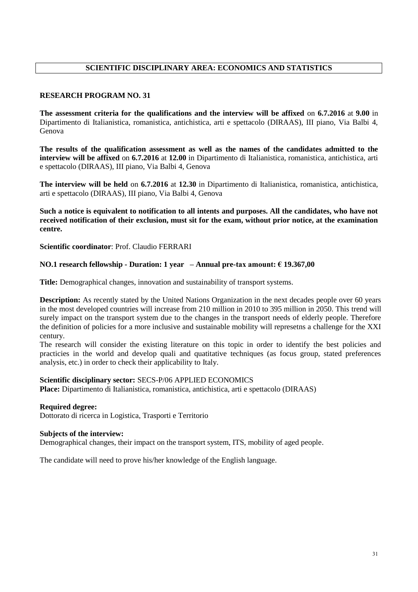# **SCIENTIFIC DISCIPLINARY AREA: ECONOMICS AND STATISTICS**

# **RESEARCH PROGRAM NO. 31**

**The assessment criteria for the qualifications and the interview will be affixed** on **6.7.2016** at **9.00** in Dipartimento di Italianistica, romanistica, antichistica, arti e spettacolo (DIRAAS), III piano, Via Balbi 4, Genova

**The results of the qualification assessment as well as the names of the candidates admitted to the interview will be affixed** on **6.7.2016** at **12.00** in Dipartimento di Italianistica, romanistica, antichistica, arti e spettacolo (DIRAAS), III piano, Via Balbi 4, Genova

**The interview will be held** on **6.7.2016** at **12.30** in Dipartimento di Italianistica, romanistica, antichistica, arti e spettacolo (DIRAAS), III piano, Via Balbi 4, Genova

**Such a notice is equivalent to notification to all intents and purposes. All the candidates, who have not received notification of their exclusion, must sit for the exam, without prior notice, at the examination centre.**

**Scientific coordinator**: Prof. Claudio FERRARI

#### **NO.1 research fellowship - Duration: 1 year – Annual pre-tax amount: € 19.367,00**

**Title:** Demographical changes, innovation and sustainability of transport systems.

**Description:** As recently stated by the United Nations Organization in the next decades people over 60 years in the most developed countries will increase from 210 million in 2010 to 395 million in 2050. This trend will surely impact on the transport system due to the changes in the transport needs of elderly people. Therefore the definition of policies for a more inclusive and sustainable mobility will represetns a challenge for the XXI century.

The research will consider the existing literature on this topic in order to identify the best policies and practicies in the world and develop quali and quatitative techniques (as focus group, stated preferences analysis, etc.) in order to check their applicability to Italy.

# **Scientific disciplinary sector:** SECS-P/06 APPLIED ECONOMICS

**Place:** Dipartimento di Italianistica, romanistica, antichistica, arti e spettacolo (DIRAAS)

#### **Required degree:**

Dottorato di ricerca in Logistica, Trasporti e Territorio

#### **Subjects of the interview:**

Demographical changes, their impact on the transport system, ITS, mobility of aged people.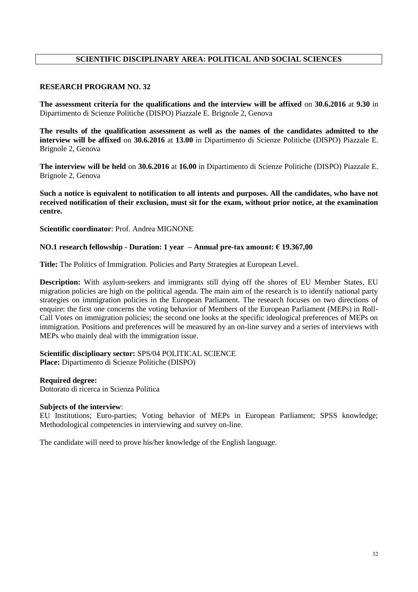# **SCIENTIFIC DISCIPLINARY AREA: POLITICAL AND SOCIAL SCIENCES**

#### **RESEARCH PROGRAM NO. 32**

**The assessment criteria for the qualifications and the interview will be affixed** on **30.6.2016** at **9.30** in Dipartimento di Scienze Politiche (DISPO) Piazzale E. Brignole 2, Genova

**The results of the qualification assessment as well as the names of the candidates admitted to the interview will be affixed** on **30.6.2016** at **13.00** in Dipartimento di Scienze Politiche (DISPO) Piazzale E. Brignole 2, Genova

**The interview will be held** on **30.6.2016** at **16.00** in Dipartimento di Scienze Politiche (DISPO) Piazzale E. Brignole 2, Genova

**Such a notice is equivalent to notification to all intents and purposes. All the candidates, who have not received notification of their exclusion, must sit for the exam, without prior notice, at the examination centre.**

**Scientific coordinator**: Prof. Andrea MIGNONE

#### **NO.1 research fellowship - Duration: 1 year – Annual pre-tax amount: € 19.367,00**

**Title:** The Politics of Immigration. Policies and Party Strategies at European Level.

**Description:** With asylum-seekers and immigrants still dying off the shores of EU Member States, EU migration policies are high on the political agenda. The main aim of the research is to identify national party strategies on immigration policies in the European Parliament. The research focuses on two directions of enquire: the first one concerns the voting behavior of Members of the European Parliament (MEPs) in Roll-Call Votes on immigration policies; the second one looks at the specific ideological preferences of MEPs on immigration. Positions and preferences will be measured by an on-line survey and a series of interviews with MEPs who mainly deal with the immigration issue.

**Scientific disciplinary sector:** SPS/04 POLITICAL SCIENCE **Place:** Dipartimento di Scienze Politiche (DISPO)

#### **Required degree:**

Dottorato di ricerca in Scienza Politica

#### **Subjects of the interview**:

EU Institutions; Euro-parties; Voting behavior of MEPs in European Parliament; SPSS knowledge; Methodological competencies in interviewing and survey on-line.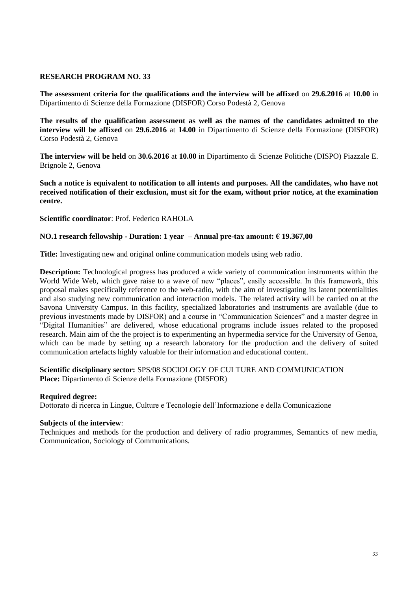**The assessment criteria for the qualifications and the interview will be affixed** on **29.6.2016** at **10.00** in Dipartimento di Scienze della Formazione (DISFOR) Corso Podestà 2, Genova

**The results of the qualification assessment as well as the names of the candidates admitted to the interview will be affixed** on **29.6.2016** at **14.00** in Dipartimento di Scienze della Formazione (DISFOR) Corso Podestà 2, Genova

**The interview will be held** on **30.6.2016** at **10.00** in Dipartimento di Scienze Politiche (DISPO) Piazzale E. Brignole 2, Genova

**Such a notice is equivalent to notification to all intents and purposes. All the candidates, who have not received notification of their exclusion, must sit for the exam, without prior notice, at the examination centre.**

**Scientific coordinator**: Prof. Federico RAHOLA

# **NO.1 research fellowship - Duration: 1 year – Annual pre-tax amount: € 19.367,00**

**Title:** Investigating new and original online communication models using web radio.

**Description:** Technological progress has produced a wide variety of communication instruments within the World Wide Web, which gave raise to a wave of new "places", easily accessible. In this framework, this proposal makes specifically reference to the web-radio, with the aim of investigating its latent potentialities and also studying new communication and interaction models. The related activity will be carried on at the Savona University Campus. In this facility, specialized laboratories and instruments are available (due to previous investments made by DISFOR) and a course in "Communication Sciences" and a master degree in "Digital Humanities" are delivered, whose educational programs include issues related to the proposed research. Main aim of the the project is to experimenting an hypermedia service for the University of Genoa, which can be made by setting up a research laboratory for the production and the delivery of suited communication artefacts highly valuable for their information and educational content.

# **Scientific disciplinary sector:** SPS/08 SOCIOLOGY OF CULTURE AND COMMUNICATION **Place:** Dipartimento di Scienze della Formazione (DISFOR)

#### **Required degree:**

Dottorato di ricerca in Lingue, Culture e Tecnologie dell'Informazione e della Comunicazione

#### **Subjects of the interview**:

Techniques and methods for the production and delivery of radio programmes, Semantics of new media, Communication, Sociology of Communications.